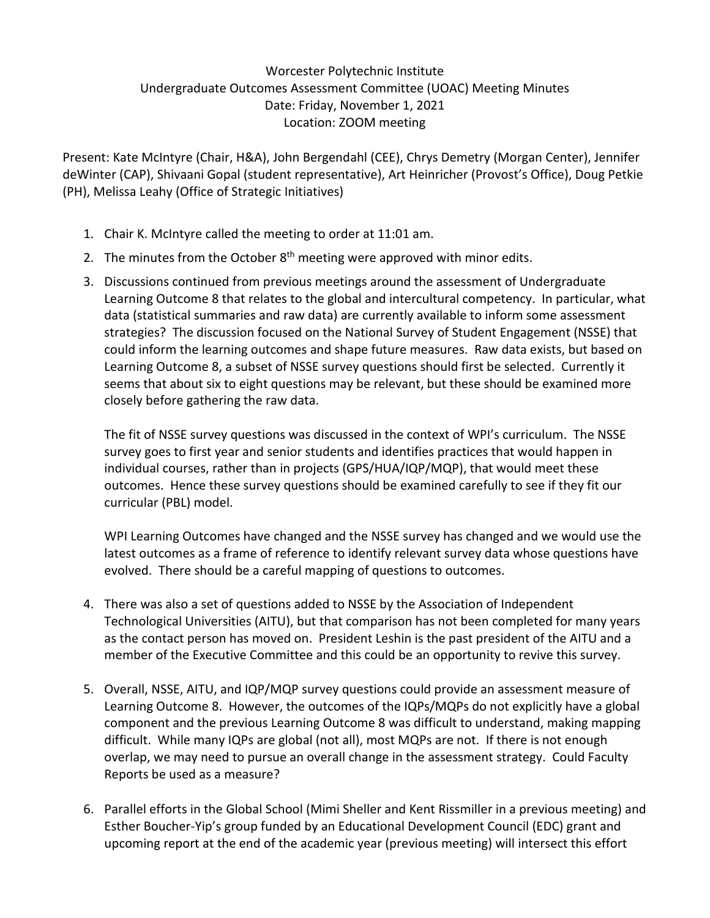## Worcester Polytechnic Institute Undergraduate Outcomes Assessment Committee (UOAC) Meeting Minutes Date: Friday, November 1, 2021 Location: ZOOM meeting

Present: Kate McIntyre (Chair, H&A), John Bergendahl (CEE), Chrys Demetry (Morgan Center), Jennifer deWinter (CAP), Shivaani Gopal (student representative), Art Heinricher (Provost's Office), Doug Petkie (PH), Melissa Leahy (Office of Strategic Initiatives)

- 1. Chair K. McIntyre called the meeting to order at 11:01 am.
- 2. The minutes from the October  $8<sup>th</sup>$  meeting were approved with minor edits.
- 3. Discussions continued from previous meetings around the assessment of Undergraduate Learning Outcome 8 that relates to the global and intercultural competency. In particular, what data (statistical summaries and raw data) are currently available to inform some assessment strategies? The discussion focused on the National Survey of Student Engagement (NSSE) that could inform the learning outcomes and shape future measures. Raw data exists, but based on Learning Outcome 8, a subset of NSSE survey questions should first be selected. Currently it seems that about six to eight questions may be relevant, but these should be examined more closely before gathering the raw data.

The fit of NSSE survey questions was discussed in the context of WPI's curriculum. The NSSE survey goes to first year and senior students and identifies practices that would happen in individual courses, rather than in projects (GPS/HUA/IQP/MQP), that would meet these outcomes. Hence these survey questions should be examined carefully to see if they fit our curricular (PBL) model.

WPI Learning Outcomes have changed and the NSSE survey has changed and we would use the latest outcomes as a frame of reference to identify relevant survey data whose questions have evolved. There should be a careful mapping of questions to outcomes.

- 4. There was also a set of questions added to NSSE by the Association of Independent Technological Universities (AITU), but that comparison has not been completed for many years as the contact person has moved on. President Leshin is the past president of the AITU and a member of the Executive Committee and this could be an opportunity to revive this survey.
- 5. Overall, NSSE, AITU, and IQP/MQP survey questions could provide an assessment measure of Learning Outcome 8. However, the outcomes of the IQPs/MQPs do not explicitly have a global component and the previous Learning Outcome 8 was difficult to understand, making mapping difficult. While many IQPs are global (not all), most MQPs are not. If there is not enough overlap, we may need to pursue an overall change in the assessment strategy. Could Faculty Reports be used as a measure?
- 6. Parallel efforts in the Global School (Mimi Sheller and Kent Rissmiller in a previous meeting) and Esther Boucher-Yip's group funded by an Educational Development Council (EDC) grant and upcoming report at the end of the academic year (previous meeting) will intersect this effort